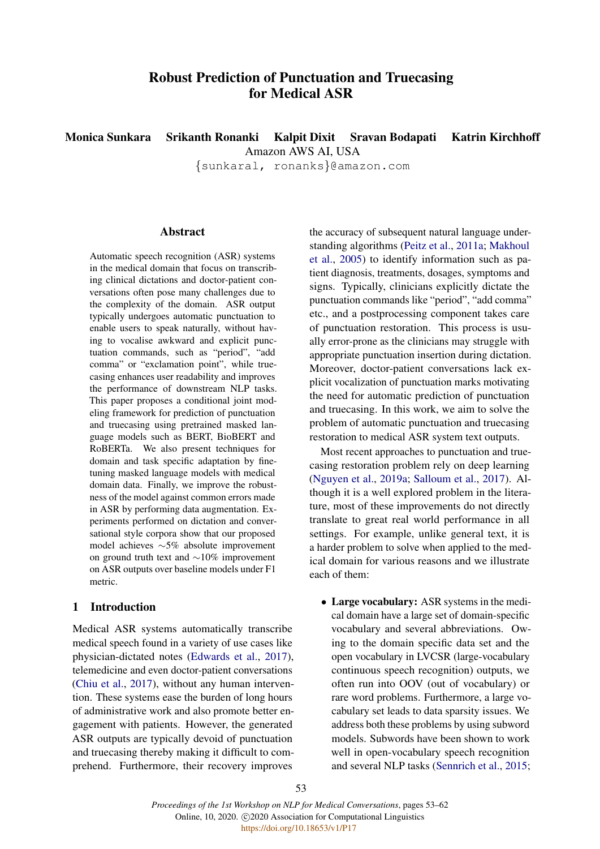# Robust Prediction of Punctuation and Truecasing for Medical ASR

Monica Sunkara Srikanth Ronanki Kalpit Dixit Sravan Bodapati Katrin Kirchhoff Amazon AWS AI, USA

{sunkaral, ronanks}@amazon.com

# **Abstract**

Automatic speech recognition (ASR) systems in the medical domain that focus on transcribing clinical dictations and doctor-patient conversations often pose many challenges due to the complexity of the domain. ASR output typically undergoes automatic punctuation to enable users to speak naturally, without having to vocalise awkward and explicit punctuation commands, such as "period", "add comma" or "exclamation point", while truecasing enhances user readability and improves the performance of downstream NLP tasks. This paper proposes a conditional joint modeling framework for prediction of punctuation and truecasing using pretrained masked language models such as BERT, BioBERT and RoBERTa. We also present techniques for domain and task specific adaptation by finetuning masked language models with medical domain data. Finally, we improve the robustness of the model against common errors made in ASR by performing data augmentation. Experiments performed on dictation and conversational style corpora show that our proposed model achieves ∼5% absolute improvement on ground truth text and ∼10% improvement on ASR outputs over baseline models under F1 metric.

# 1 Introduction

Medical ASR systems automatically transcribe medical speech found in a variety of use cases like physician-dictated notes [\(Edwards et al.,](#page-8-0) [2017\)](#page-8-0), telemedicine and even doctor-patient conversations [\(Chiu et al.,](#page-8-1) [2017\)](#page-8-1), without any human intervention. These systems ease the burden of long hours of administrative work and also promote better engagement with patients. However, the generated ASR outputs are typically devoid of punctuation and truecasing thereby making it difficult to comprehend. Furthermore, their recovery improves

the accuracy of subsequent natural language understanding algorithms [\(Peitz et al.,](#page-9-0) [2011a;](#page-9-0) [Makhoul](#page-9-1) [et al.,](#page-9-1) [2005\)](#page-9-1) to identify information such as patient diagnosis, treatments, dosages, symptoms and signs. Typically, clinicians explicitly dictate the punctuation commands like "period", "add comma" etc., and a postprocessing component takes care of punctuation restoration. This process is usually error-prone as the clinicians may struggle with appropriate punctuation insertion during dictation. Moreover, doctor-patient conversations lack explicit vocalization of punctuation marks motivating the need for automatic prediction of punctuation and truecasing. In this work, we aim to solve the problem of automatic punctuation and truecasing restoration to medical ASR system text outputs.

Most recent approaches to punctuation and truecasing restoration problem rely on deep learning [\(Nguyen et al.,](#page-9-2) [2019a;](#page-9-2) [Salloum et al.,](#page-9-3) [2017\)](#page-9-3). Although it is a well explored problem in the literature, most of these improvements do not directly translate to great real world performance in all settings. For example, unlike general text, it is a harder problem to solve when applied to the medical domain for various reasons and we illustrate each of them:

• Large vocabulary: ASR systems in the medical domain have a large set of domain-specific vocabulary and several abbreviations. Owing to the domain specific data set and the open vocabulary in LVCSR (large-vocabulary continuous speech recognition) outputs, we often run into OOV (out of vocabulary) or rare word problems. Furthermore, a large vocabulary set leads to data sparsity issues. We address both these problems by using subword models. Subwords have been shown to work well in open-vocabulary speech recognition and several NLP tasks [\(Sennrich et al.,](#page-9-4) [2015;](#page-9-4)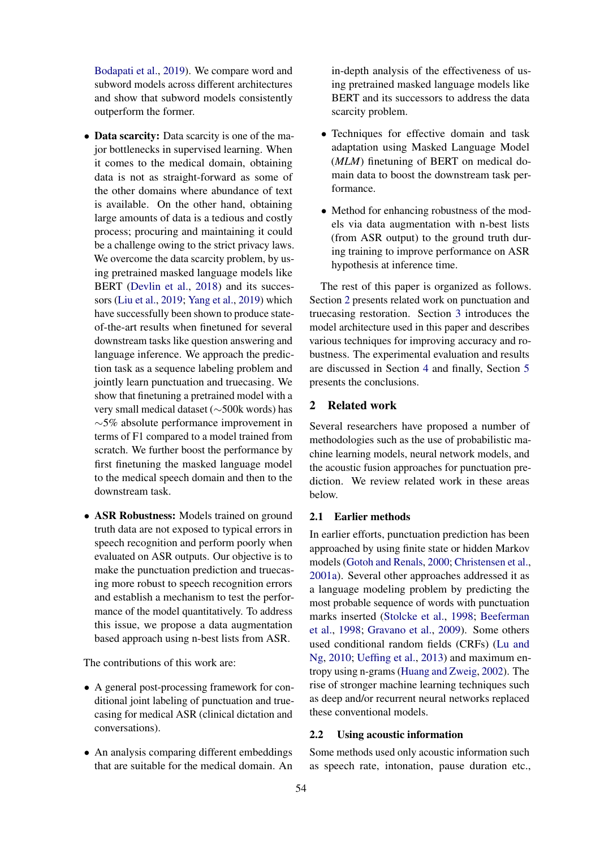[Bodapati et al.,](#page-8-2) [2019\)](#page-8-2). We compare word and subword models across different architectures and show that subword models consistently outperform the former.

- Data scarcity: Data scarcity is one of the major bottlenecks in supervised learning. When it comes to the medical domain, obtaining data is not as straight-forward as some of the other domains where abundance of text is available. On the other hand, obtaining large amounts of data is a tedious and costly process; procuring and maintaining it could be a challenge owing to the strict privacy laws. We overcome the data scarcity problem, by using pretrained masked language models like BERT [\(Devlin et al.,](#page-8-3) [2018\)](#page-8-3) and its successors [\(Liu et al.,](#page-8-4) [2019;](#page-8-4) [Yang et al.,](#page-9-5) [2019\)](#page-9-5) which have successfully been shown to produce stateof-the-art results when finetuned for several downstream tasks like question answering and language inference. We approach the prediction task as a sequence labeling problem and jointly learn punctuation and truecasing. We show that finetuning a pretrained model with a very small medical dataset (∼500k words) has ∼5% absolute performance improvement in terms of F1 compared to a model trained from scratch. We further boost the performance by first finetuning the masked language model to the medical speech domain and then to the downstream task.
- ASR Robustness: Models trained on ground truth data are not exposed to typical errors in speech recognition and perform poorly when evaluated on ASR outputs. Our objective is to make the punctuation prediction and truecasing more robust to speech recognition errors and establish a mechanism to test the performance of the model quantitatively. To address this issue, we propose a data augmentation based approach using n-best lists from ASR.

The contributions of this work are:

- A general post-processing framework for conditional joint labeling of punctuation and truecasing for medical ASR (clinical dictation and conversations).
- An analysis comparing different embeddings that are suitable for the medical domain. An

in-depth analysis of the effectiveness of using pretrained masked language models like BERT and its successors to address the data scarcity problem.

- Techniques for effective domain and task adaptation using Masked Language Model (*MLM*) finetuning of BERT on medical domain data to boost the downstream task performance.
- Method for enhancing robustness of the models via data augmentation with n-best lists (from ASR output) to the ground truth during training to improve performance on ASR hypothesis at inference time.

The rest of this paper is organized as follows. Section [2](#page-1-0) presents related work on punctuation and truecasing restoration. Section [3](#page-2-0) introduces the model architecture used in this paper and describes various techniques for improving accuracy and robustness. The experimental evaluation and results are discussed in Section [4](#page-4-0) and finally, Section [5](#page-7-0) presents the conclusions.

# <span id="page-1-0"></span>2 Related work

Several researchers have proposed a number of methodologies such as the use of probabilistic machine learning models, neural network models, and the acoustic fusion approaches for punctuation prediction. We review related work in these areas below.

#### 2.1 Earlier methods

In earlier efforts, punctuation prediction has been approached by using finite state or hidden Markov models [\(Gotoh and Renals,](#page-8-5) [2000;](#page-8-5) [Christensen et al.,](#page-8-6) [2001a\)](#page-8-6). Several other approaches addressed it as a language modeling problem by predicting the most probable sequence of words with punctuation marks inserted [\(Stolcke et al.,](#page-9-6) [1998;](#page-9-6) [Beeferman](#page-8-7) [et al.,](#page-8-7) [1998;](#page-8-7) [Gravano et al.,](#page-8-8) [2009\)](#page-8-8). Some others used conditional random fields (CRFs) [\(Lu and](#page-8-9) [Ng,](#page-8-9) [2010;](#page-8-9) [Ueffing et al.,](#page-9-7) [2013\)](#page-9-7) and maximum entropy using n-grams [\(Huang and Zweig,](#page-8-10) [2002\)](#page-8-10). The rise of stronger machine learning techniques such as deep and/or recurrent neural networks replaced these conventional models.

#### 2.2 Using acoustic information

Some methods used only acoustic information such as speech rate, intonation, pause duration etc.,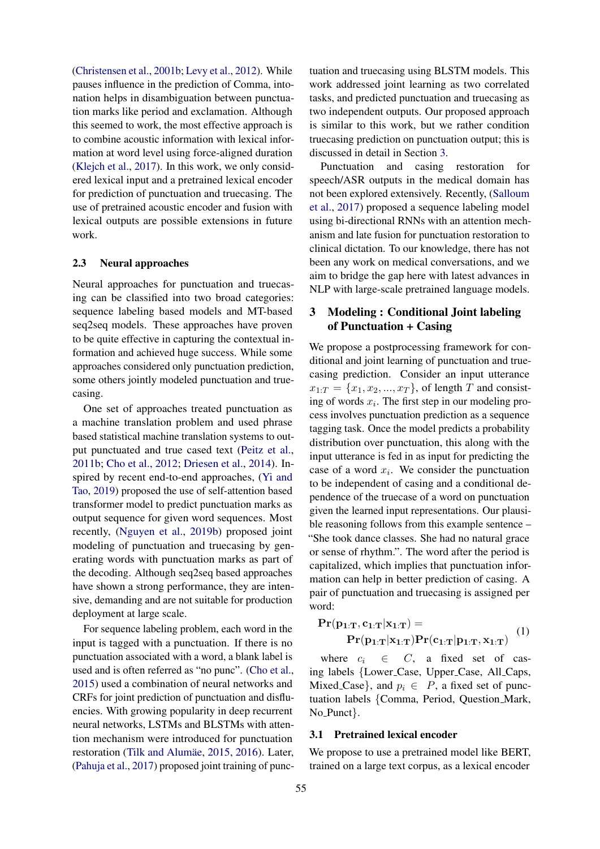[\(Christensen et al.,](#page-8-11) [2001b;](#page-8-11) [Levy et al.,](#page-8-12) [2012\)](#page-8-12). While pauses influence in the prediction of Comma, intonation helps in disambiguation between punctuation marks like period and exclamation. Although this seemed to work, the most effective approach is to combine acoustic information with lexical information at word level using force-aligned duration [\(Klejch et al.,](#page-8-13) [2017\)](#page-8-13). In this work, we only considered lexical input and a pretrained lexical encoder for prediction of punctuation and truecasing. The use of pretrained acoustic encoder and fusion with lexical outputs are possible extensions in future work.

#### 2.3 Neural approaches

Neural approaches for punctuation and truecasing can be classified into two broad categories: sequence labeling based models and MT-based seq2seq models. These approaches have proven to be quite effective in capturing the contextual information and achieved huge success. While some approaches considered only punctuation prediction, some others jointly modeled punctuation and truecasing.

One set of approaches treated punctuation as a machine translation problem and used phrase based statistical machine translation systems to output punctuated and true cased text [\(Peitz et al.,](#page-9-8) [2011b;](#page-9-8) [Cho et al.,](#page-8-14) [2012;](#page-8-14) [Driesen et al.,](#page-8-15) [2014\)](#page-8-15). Inspired by recent end-to-end approaches, [\(Yi and](#page-9-9) [Tao,](#page-9-9) [2019\)](#page-9-9) proposed the use of self-attention based transformer model to predict punctuation marks as output sequence for given word sequences. Most recently, [\(Nguyen et al.,](#page-9-10) [2019b\)](#page-9-10) proposed joint modeling of punctuation and truecasing by generating words with punctuation marks as part of the decoding. Although seq2seq based approaches have shown a strong performance, they are intensive, demanding and are not suitable for production deployment at large scale.

For sequence labeling problem, each word in the input is tagged with a punctuation. If there is no punctuation associated with a word, a blank label is used and is often referred as "no punc". [\(Cho et al.,](#page-8-16) [2015\)](#page-8-16) used a combination of neural networks and CRFs for joint prediction of punctuation and disfluencies. With growing popularity in deep recurrent neural networks, LSTMs and BLSTMs with attention mechanism were introduced for punctuation restoration (Tilk and Alumäe, [2015,](#page-9-11) [2016\)](#page-9-12). Later, [\(Pahuja et al.,](#page-9-13) [2017\)](#page-9-13) proposed joint training of punctuation and truecasing using BLSTM models. This work addressed joint learning as two correlated tasks, and predicted punctuation and truecasing as two independent outputs. Our proposed approach is similar to this work, but we rather condition truecasing prediction on punctuation output; this is discussed in detail in Section [3.](#page-2-0)

Punctuation and casing restoration for speech/ASR outputs in the medical domain has not been explored extensively. Recently, [\(Salloum](#page-9-3) [et al.,](#page-9-3) [2017\)](#page-9-3) proposed a sequence labeling model using bi-directional RNNs with an attention mechanism and late fusion for punctuation restoration to clinical dictation. To our knowledge, there has not been any work on medical conversations, and we aim to bridge the gap here with latest advances in NLP with large-scale pretrained language models.

# <span id="page-2-0"></span>3 Modeling : Conditional Joint labeling of Punctuation + Casing

We propose a postprocessing framework for conditional and joint learning of punctuation and truecasing prediction. Consider an input utterance  $x_{1:T} = \{x_1, x_2, ..., x_T\}$ , of length T and consisting of words  $x_i$ . The first step in our modeling process involves punctuation prediction as a sequence tagging task. Once the model predicts a probability distribution over punctuation, this along with the input utterance is fed in as input for predicting the case of a word  $x_i$ . We consider the punctuation to be independent of casing and a conditional dependence of the truecase of a word on punctuation given the learned input representations. Our plausible reasoning follows from this example sentence – "She took dance classes. She had no natural grace or sense of rhythm.". The word after the period is capitalized, which implies that punctuation information can help in better prediction of casing. A pair of punctuation and truecasing is assigned per word:

$$
\mathbf{Pr}(\mathbf{p}_{1:T}, \mathbf{c}_{1:T} | \mathbf{x}_{1:T}) = \mathbf{Pr}(\mathbf{p}_{1:T} | \mathbf{x}_{1:T}) \mathbf{Pr}(\mathbf{c}_{1:T} | \mathbf{p}_{1:T}, \mathbf{x}_{1:T}) \quad (1)
$$

where  $c_i \in C$ , a fixed set of casing labels {Lower Case, Upper Case, All Caps, Mixed Case, and  $p_i \in P$ , a fixed set of punctuation labels {Comma, Period, Question Mark, No Punct}.

#### 3.1 Pretrained lexical encoder

We propose to use a pretrained model like BERT, trained on a large text corpus, as a lexical encoder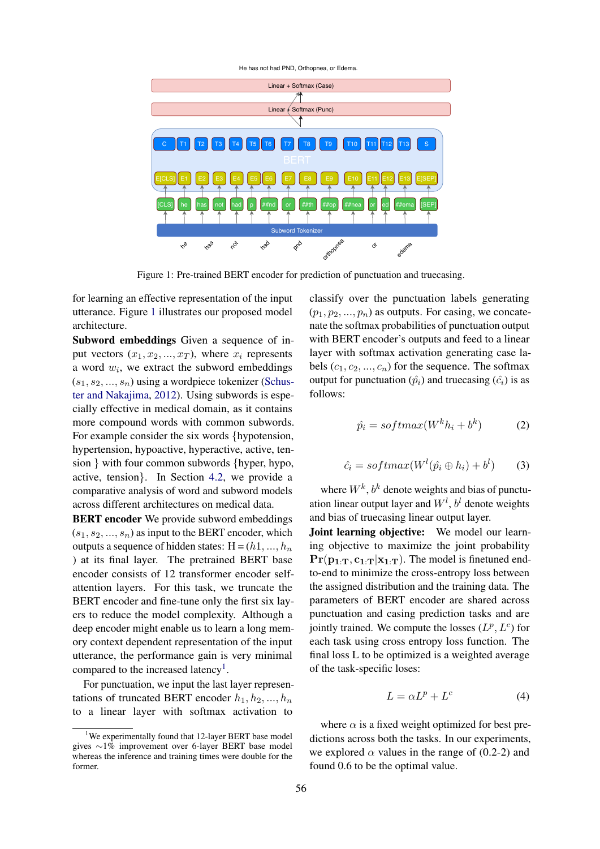<span id="page-3-0"></span>

Figure 1: Pre-trained BERT encoder for prediction of punctuation and truecasing.

for learning an effective representation of the input utterance. Figure [1](#page-3-0) illustrates our proposed model architecture.

Subword embeddings Given a sequence of input vectors  $(x_1, x_2, ..., x_T)$ , where  $x_i$  represents a word  $w_i$ , we extract the subword embeddings  $(s_1, s_2, ..., s_n)$  using a wordpiece tokenizer [\(Schus](#page-9-14)[ter and Nakajima,](#page-9-14) [2012\)](#page-9-14). Using subwords is especially effective in medical domain, as it contains more compound words with common subwords. For example consider the six words {hypotension, hypertension, hypoactive, hyperactive, active, tension } with four common subwords {hyper, hypo, active, tension}. In Section [4.2,](#page-5-0) we provide a comparative analysis of word and subword models across different architectures on medical data.

BERT encoder We provide subword embeddings  $(s_1, s_2, \ldots, s_n)$  as input to the BERT encoder, which outputs a sequence of hidden states:  $H = (h1, ..., hn)$ ) at its final layer. The pretrained BERT base encoder consists of 12 transformer encoder selfattention layers. For this task, we truncate the BERT encoder and fine-tune only the first six layers to reduce the model complexity. Although a deep encoder might enable us to learn a long memory context dependent representation of the input utterance, the performance gain is very minimal compared to the increased latency<sup>[1](#page-3-1)</sup>.

For punctuation, we input the last layer representations of truncated BERT encoder  $h_1, h_2, ..., h_n$ to a linear layer with softmax activation to

classify over the punctuation labels generating  $(p_1, p_2, ..., p_n)$  as outputs. For casing, we concatenate the softmax probabilities of punctuation output with BERT encoder's outputs and feed to a linear layer with softmax activation generating case labels  $(c_1, c_2, ..., c_n)$  for the sequence. The softmax output for punctuation  $(\hat{p}_i)$  and truecasing  $(\hat{c}_i)$  is as follows:

$$
\hat{p}_i = softmax(W^k h_i + b^k) \tag{2}
$$

$$
\hat{c}_i = softmax(W^l(\hat{p_i} \oplus h_i) + b^l)
$$
 (3)

where  $W^k$ ,  $b^k$  denote weights and bias of punctuation linear output layer and  $W<sup>l</sup>$ ,  $b<sup>l</sup>$  denote weights and bias of truecasing linear output layer.

Joint learning objective: We model our learning objective to maximize the joint probability  $Pr(p_1, r, c_1, r | x_1, r)$ . The model is finetuned endto-end to minimize the cross-entropy loss between the assigned distribution and the training data. The parameters of BERT encoder are shared across punctuation and casing prediction tasks and are jointly trained. We compute the losses  $(L^p, L^c)$  for each task using cross entropy loss function. The final loss L to be optimized is a weighted average of the task-specific loses:

$$
L = \alpha L^p + L^c \tag{4}
$$

where  $\alpha$  is a fixed weight optimized for best predictions across both the tasks. In our experiments, we explored  $\alpha$  values in the range of (0.2-2) and found 0.6 to be the optimal value.

<span id="page-3-1"></span><sup>&</sup>lt;sup>1</sup>We experimentally found that 12-layer BERT base model gives ∼1% improvement over 6-layer BERT base model whereas the inference and training times were double for the former.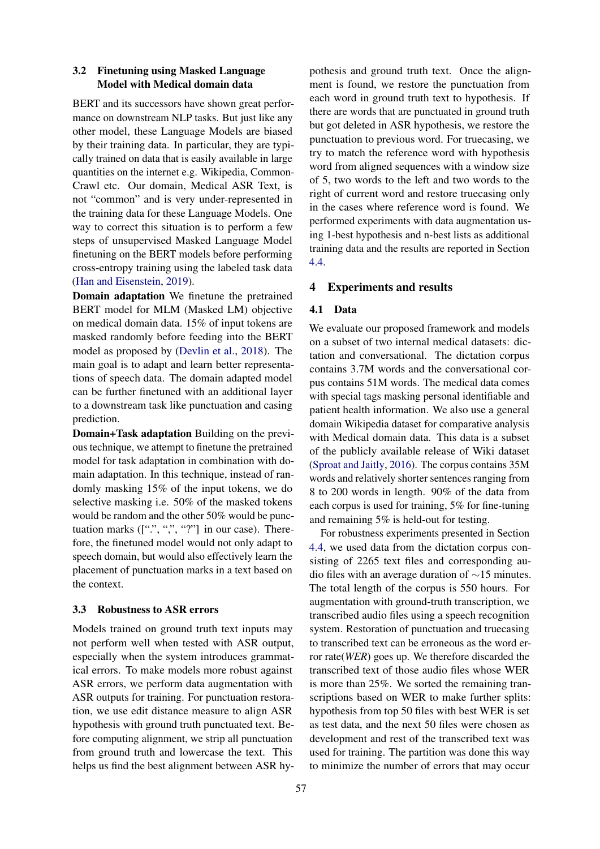# <span id="page-4-1"></span>3.2 Finetuning using Masked Language Model with Medical domain data

BERT and its successors have shown great performance on downstream NLP tasks. But just like any other model, these Language Models are biased by their training data. In particular, they are typically trained on data that is easily available in large quantities on the internet e.g. Wikipedia, Common-Crawl etc. Our domain, Medical ASR Text, is not "common" and is very under-represented in the training data for these Language Models. One way to correct this situation is to perform a few steps of unsupervised Masked Language Model finetuning on the BERT models before performing cross-entropy training using the labeled task data [\(Han and Eisenstein,](#page-8-17) [2019\)](#page-8-17).

Domain adaptation We finetune the pretrained BERT model for MLM (Masked LM) objective on medical domain data. 15% of input tokens are masked randomly before feeding into the BERT model as proposed by [\(Devlin et al.,](#page-8-3) [2018\)](#page-8-3). The main goal is to adapt and learn better representations of speech data. The domain adapted model can be further finetuned with an additional layer to a downstream task like punctuation and casing prediction.

Domain+Task adaptation Building on the previous technique, we attempt to finetune the pretrained model for task adaptation in combination with domain adaptation. In this technique, instead of randomly masking 15% of the input tokens, we do selective masking i.e. 50% of the masked tokens would be random and the other 50% would be punctuation marks  $([\lbrack " \rbrack", " , " ?"]$  in our case). Therefore, the finetuned model would not only adapt to speech domain, but would also effectively learn the placement of punctuation marks in a text based on the context.

## <span id="page-4-2"></span>3.3 Robustness to ASR errors

Models trained on ground truth text inputs may not perform well when tested with ASR output, especially when the system introduces grammatical errors. To make models more robust against ASR errors, we perform data augmentation with ASR outputs for training. For punctuation restoration, we use edit distance measure to align ASR hypothesis with ground truth punctuated text. Before computing alignment, we strip all punctuation from ground truth and lowercase the text. This helps us find the best alignment between ASR hy-

pothesis and ground truth text. Once the alignment is found, we restore the punctuation from each word in ground truth text to hypothesis. If there are words that are punctuated in ground truth but got deleted in ASR hypothesis, we restore the punctuation to previous word. For truecasing, we try to match the reference word with hypothesis word from aligned sequences with a window size of 5, two words to the left and two words to the right of current word and restore truecasing only in the cases where reference word is found. We performed experiments with data augmentation using 1-best hypothesis and n-best lists as additional training data and the results are reported in Section [4.4.](#page-7-1)

#### <span id="page-4-0"></span>4 Experiments and results

#### 4.1 Data

We evaluate our proposed framework and models on a subset of two internal medical datasets: dictation and conversational. The dictation corpus contains 3.7M words and the conversational corpus contains 51M words. The medical data comes with special tags masking personal identifiable and patient health information. We also use a general domain Wikipedia dataset for comparative analysis with Medical domain data. This data is a subset of the publicly available release of Wiki dataset [\(Sproat and Jaitly,](#page-9-15) [2016\)](#page-9-15). The corpus contains 35M words and relatively shorter sentences ranging from 8 to 200 words in length. 90% of the data from each corpus is used for training, 5% for fine-tuning and remaining 5% is held-out for testing.

For robustness experiments presented in Section [4.4,](#page-7-1) we used data from the dictation corpus consisting of 2265 text files and corresponding audio files with an average duration of ∼15 minutes. The total length of the corpus is 550 hours. For augmentation with ground-truth transcription, we transcribed audio files using a speech recognition system. Restoration of punctuation and truecasing to transcribed text can be erroneous as the word error rate(*WER*) goes up. We therefore discarded the transcribed text of those audio files whose WER is more than 25%. We sorted the remaining transcriptions based on WER to make further splits: hypothesis from top 50 files with best WER is set as test data, and the next 50 files were chosen as development and rest of the transcribed text was used for training. The partition was done this way to minimize the number of errors that may occur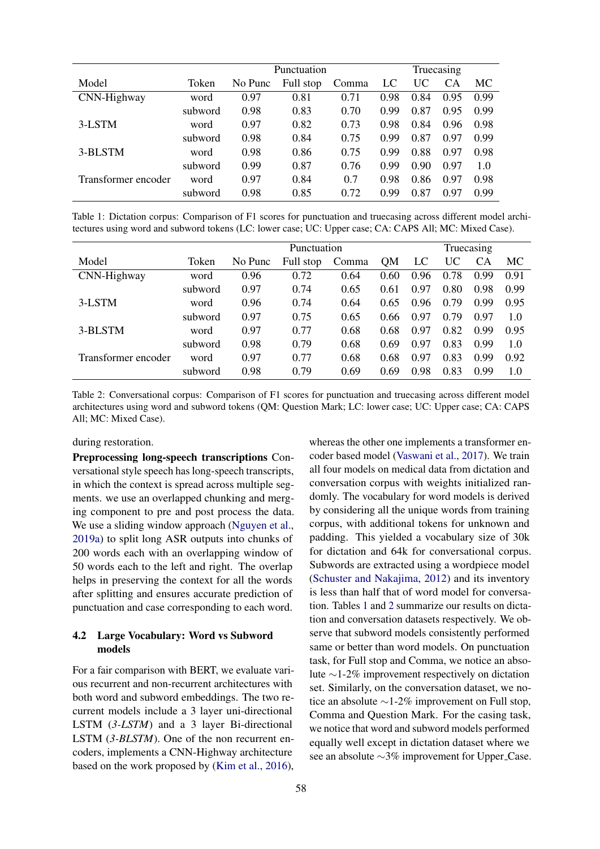<span id="page-5-1"></span>

|                     |         | Punctuation | Truecasing |       |      |      |      |      |
|---------------------|---------|-------------|------------|-------|------|------|------|------|
| Model               | Token   | No Punc     | Full stop  | Comma | LC   | UC   | CA   | MC.  |
| CNN-Highway         | word    | 0.97        | 0.81       | 0.71  | 0.98 | 0.84 | 0.95 | 0.99 |
|                     | subword | 0.98        | 0.83       | 0.70  | 0.99 | 0.87 | 0.95 | 0.99 |
| 3-LSTM              | word    | 0.97        | 0.82       | 0.73  | 0.98 | 0.84 | 0.96 | 0.98 |
|                     | subword | 0.98        | 0.84       | 0.75  | 0.99 | 0.87 | 0.97 | 0.99 |
| 3-BLSTM             | word    | 0.98        | 0.86       | 0.75  | 0.99 | 0.88 | 0.97 | 0.98 |
|                     | subword | 0.99        | 0.87       | 0.76  | 0.99 | 0.90 | 0.97 | 1.0  |
| Transformer encoder | word    | 0.97        | 0.84       | 0.7   | 0.98 | 0.86 | 0.97 | 0.98 |
|                     | subword | 0.98        | 0.85       | 0.72  | 0.99 | 0.87 | 0.97 | 0.99 |

Table 1: Dictation corpus: Comparison of F1 scores for punctuation and truecasing across different model architectures using word and subword tokens (LC: lower case; UC: Upper case; CA: CAPS All; MC: Mixed Case).

<span id="page-5-2"></span>

|                     |         | Punctuation |           |       |           |      | Truecasing |           |      |  |
|---------------------|---------|-------------|-----------|-------|-----------|------|------------|-----------|------|--|
| Model               | Token   | No Punc     | Full stop | Comma | <b>OM</b> | LC   | UC         | <b>CA</b> | MC   |  |
| CNN-Highway         | word    | 0.96        | 0.72      | 0.64  | 0.60      | 0.96 | 0.78       | 0.99      | 0.91 |  |
|                     | subword | 0.97        | 0.74      | 0.65  | 0.61      | 0.97 | 0.80       | 0.98      | 0.99 |  |
| 3-LSTM              | word    | 0.96        | 0.74      | 0.64  | 0.65      | 0.96 | 0.79       | 0.99      | 0.95 |  |
|                     | subword | 0.97        | 0.75      | 0.65  | 0.66      | 0.97 | 0.79       | 0.97      | 1.0  |  |
| 3-BLSTM             | word    | 0.97        | 0.77      | 0.68  | 0.68      | 0.97 | 0.82       | 0.99      | 0.95 |  |
|                     | subword | 0.98        | 0.79      | 0.68  | 0.69      | 0.97 | 0.83       | 0.99      | 1.0  |  |
| Transformer encoder | word    | 0.97        | 0.77      | 0.68  | 0.68      | 0.97 | 0.83       | 0.99      | 0.92 |  |
|                     | subword | 0.98        | 0.79      | 0.69  | 0.69      | 0.98 | 0.83       | 0.99      | 1.0  |  |

Table 2: Conversational corpus: Comparison of F1 scores for punctuation and truecasing across different model architectures using word and subword tokens (QM: Question Mark; LC: lower case; UC: Upper case; CA: CAPS All; MC: Mixed Case).

## during restoration.

Preprocessing long-speech transcriptions Conversational style speech has long-speech transcripts, in which the context is spread across multiple segments. we use an overlapped chunking and merging component to pre and post process the data. We use a sliding window approach [\(Nguyen et al.,](#page-9-2) [2019a\)](#page-9-2) to split long ASR outputs into chunks of 200 words each with an overlapping window of 50 words each to the left and right. The overlap helps in preserving the context for all the words after splitting and ensures accurate prediction of punctuation and case corresponding to each word.

# <span id="page-5-0"></span>4.2 Large Vocabulary: Word vs Subword models

For a fair comparison with BERT, we evaluate various recurrent and non-recurrent architectures with both word and subword embeddings. The two recurrent models include a 3 layer uni-directional LSTM (*3-LSTM*) and a 3 layer Bi-directional LSTM (*3-BLSTM*). One of the non recurrent encoders, implements a CNN-Highway architecture based on the work proposed by [\(Kim et al.,](#page-8-18) [2016\)](#page-8-18),

whereas the other one implements a transformer encoder based model [\(Vaswani et al.,](#page-9-16) [2017\)](#page-9-16). We train all four models on medical data from dictation and conversation corpus with weights initialized randomly. The vocabulary for word models is derived by considering all the unique words from training corpus, with additional tokens for unknown and padding. This yielded a vocabulary size of 30k for dictation and 64k for conversational corpus. Subwords are extracted using a wordpiece model [\(Schuster and Nakajima,](#page-9-14) [2012\)](#page-9-14) and its inventory is less than half that of word model for conversation. Tables [1](#page-5-1) and [2](#page-5-2) summarize our results on dictation and conversation datasets respectively. We observe that subword models consistently performed same or better than word models. On punctuation task, for Full stop and Comma, we notice an absolute ∼1-2% improvement respectively on dictation set. Similarly, on the conversation dataset, we notice an absolute ∼1-2% improvement on Full stop, Comma and Question Mark. For the casing task, we notice that word and subword models performed equally well except in dictation dataset where we see an absolute ∼3% improvement for Upper\_Case.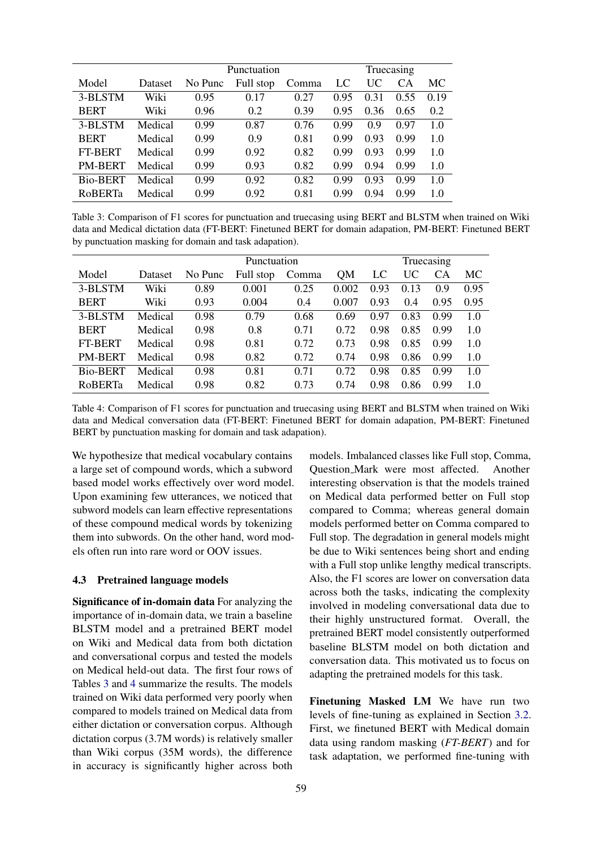<span id="page-6-0"></span>

|                 |         | Punctuation | Truecasing |       |      |      |           |      |
|-----------------|---------|-------------|------------|-------|------|------|-----------|------|
| Model           | Dataset | No Punc     | Full stop  | Comma | LC   | UC   | <b>CA</b> | МC   |
| 3-BLSTM         | Wiki    | 0.95        | 0.17       | 0.27  | 0.95 | 0.31 | 0.55      | 0.19 |
| <b>BERT</b>     | Wiki    | 0.96        | 0.2        | 0.39  | 0.95 | 0.36 | 0.65      | 0.2  |
| 3-BLSTM         | Medical | 0.99        | 0.87       | 0.76  | 0.99 | 0.9  | 0.97      | 1.0  |
| <b>BERT</b>     | Medical | 0.99        | 0.9        | 0.81  | 0.99 | 0.93 | 0.99      | 1.0  |
| <b>FT-BERT</b>  | Medical | 0.99        | 0.92       | 0.82  | 0.99 | 0.93 | 0.99      | 1.0  |
| <b>PM-BERT</b>  | Medical | 0.99        | 0.93       | 0.82  | 0.99 | 0.94 | 0.99      | 1.0  |
| <b>Bio-BERT</b> | Medical | 0.99        | 0.92       | 0.82  | 0.99 | 0.93 | 0.99      | 1.0  |
| <b>ROBERTa</b>  | Medical | 0.99        | 0.92       | 0.81  | 0.99 | 0.94 | 0.99      | 1.0  |

Table 3: Comparison of F1 scores for punctuation and truecasing using BERT and BLSTM when trained on Wiki data and Medical dictation data (FT-BERT: Finetuned BERT for domain adapation, PM-BERT: Finetuned BERT by punctuation masking for domain and task adapation).

<span id="page-6-1"></span>

|                |         | Punctuation |           |       |           | Truecasing |      |           |      |
|----------------|---------|-------------|-----------|-------|-----------|------------|------|-----------|------|
| Model          | Dataset | No Punc     | Full stop | Comma | <b>QM</b> | LC         | UC   | <b>CA</b> | MC   |
| 3-BLSTM        | Wiki    | 0.89        | 0.001     | 0.25  | 0.002     | 0.93       | 0.13 | 0.9       | 0.95 |
| <b>BERT</b>    | Wiki    | 0.93        | 0.004     | 0.4   | 0.007     | 0.93       | 0.4  | 0.95      | 0.95 |
| 3-BLSTM        | Medical | 0.98        | 0.79      | 0.68  | 0.69      | 0.97       | 0.83 | 0.99      | 1.0  |
| <b>BERT</b>    | Medical | 0.98        | 0.8       | 0.71  | 0.72      | 0.98       | 0.85 | 0.99      | 1.0  |
| <b>FT-BERT</b> | Medical | 0.98        | 0.81      | 0.72  | 0.73      | 0.98       | 0.85 | 0.99      | 1.0  |
| PM-BERT        | Medical | 0.98        | 0.82      | 0.72  | 0.74      | 0.98       | 0.86 | 0.99      | 1.0  |
| Bio-BERT       | Medical | 0.98        | 0.81      | 0.71  | 0.72      | 0.98       | 0.85 | 0.99      | 1.0  |
| <b>ROBERTa</b> | Medical | 0.98        | 0.82      | 0.73  | 0.74      | 0.98       | 0.86 | 0.99      | 1.0  |

Table 4: Comparison of F1 scores for punctuation and truecasing using BERT and BLSTM when trained on Wiki data and Medical conversation data (FT-BERT: Finetuned BERT for domain adapation, PM-BERT: Finetuned BERT by punctuation masking for domain and task adapation).

We hypothesize that medical vocabulary contains a large set of compound words, which a subword based model works effectively over word model. Upon examining few utterances, we noticed that subword models can learn effective representations of these compound medical words by tokenizing them into subwords. On the other hand, word models often run into rare word or OOV issues.

## 4.3 Pretrained language models

Significance of in-domain data For analyzing the importance of in-domain data, we train a baseline BLSTM model and a pretrained BERT model on Wiki and Medical data from both dictation and conversational corpus and tested the models on Medical held-out data. The first four rows of Tables [3](#page-6-0) and [4](#page-6-1) summarize the results. The models trained on Wiki data performed very poorly when compared to models trained on Medical data from either dictation or conversation corpus. Although dictation corpus (3.7M words) is relatively smaller than Wiki corpus (35M words), the difference in accuracy is significantly higher across both

models. Imbalanced classes like Full stop, Comma, Question Mark were most affected. Another interesting observation is that the models trained on Medical data performed better on Full stop compared to Comma; whereas general domain models performed better on Comma compared to Full stop. The degradation in general models might be due to Wiki sentences being short and ending with a Full stop unlike lengthy medical transcripts. Also, the F1 scores are lower on conversation data across both the tasks, indicating the complexity involved in modeling conversational data due to their highly unstructured format. Overall, the pretrained BERT model consistently outperformed baseline BLSTM model on both dictation and conversation data. This motivated us to focus on adapting the pretrained models for this task.

Finetuning Masked LM We have run two levels of fine-tuning as explained in Section [3.2.](#page-4-1) First, we finetuned BERT with Medical domain data using random masking (*FT-BERT*) and for task adaptation, we performed fine-tuning with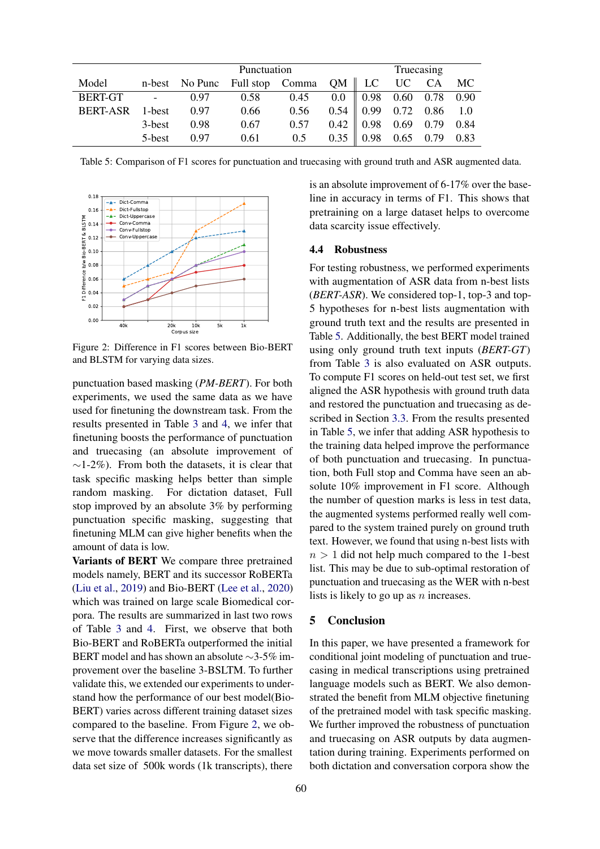<span id="page-7-3"></span>

|                      |        | Punctuation |                                                 |                                                 |  | Truecasing                 |  |  |  |
|----------------------|--------|-------------|-------------------------------------------------|-------------------------------------------------|--|----------------------------|--|--|--|
| Model                |        |             | n-best No Punc Full stop Comma QM   LC UC CA MC |                                                 |  |                            |  |  |  |
| BERT-GT - 0.97       |        |             |                                                 | $0.58$ $0.45$ $0.0$ $0.98$ $0.60$ $0.78$ $0.90$ |  |                            |  |  |  |
| BERT-ASR 1-best 0.97 |        |             | 0.66                                            | $0.56$ $0.54$ 0.99 0.72 0.86 1.0                |  |                            |  |  |  |
|                      | 3-best | 0.98        | 0.67                                            | $0.57$ $0.42$ $0.98$ $0.69$ $0.79$ $0.84$       |  |                            |  |  |  |
|                      | 5-best | 0.97        | 0.61                                            | 0.5                                             |  | $0.35$ 0.98 0.65 0.79 0.83 |  |  |  |

<span id="page-7-2"></span>Table 5: Comparison of F1 scores for punctuation and truecasing with ground truth and ASR augmented data.



Figure 2: Difference in F1 scores between Bio-BERT and BLSTM for varying data sizes.

punctuation based masking (*PM-BERT*). For both experiments, we used the same data as we have used for finetuning the downstream task. From the results presented in Table [3](#page-6-0) and [4,](#page-6-1) we infer that finetuning boosts the performance of punctuation and truecasing (an absolute improvement of  $\sim$ 1-2%). From both the datasets, it is clear that task specific masking helps better than simple random masking. For dictation dataset, Full stop improved by an absolute 3% by performing punctuation specific masking, suggesting that finetuning MLM can give higher benefits when the amount of data is low.

Variants of BERT We compare three pretrained models namely, BERT and its successor RoBERTa [\(Liu et al.,](#page-8-4) [2019\)](#page-8-4) and Bio-BERT [\(Lee et al.,](#page-8-19) [2020\)](#page-8-19) which was trained on large scale Biomedical corpora. The results are summarized in last two rows of Table [3](#page-6-0) and [4.](#page-6-1) First, we observe that both Bio-BERT and RoBERTa outperformed the initial BERT model and has shown an absolute ∼3-5% improvement over the baseline 3-BSLTM. To further validate this, we extended our experiments to understand how the performance of our best model(Bio-BERT) varies across different training dataset sizes compared to the baseline. From Figure [2,](#page-7-2) we observe that the difference increases significantly as we move towards smaller datasets. For the smallest data set size of 500k words (1k transcripts), there

is an absolute improvement of 6-17% over the baseline in accuracy in terms of F1. This shows that pretraining on a large dataset helps to overcome data scarcity issue effectively.

# <span id="page-7-1"></span>4.4 Robustness

For testing robustness, we performed experiments with augmentation of ASR data from n-best lists (*BERT-ASR*). We considered top-1, top-3 and top-5 hypotheses for n-best lists augmentation with ground truth text and the results are presented in Table [5.](#page-7-3) Additionally, the best BERT model trained using only ground truth text inputs (*BERT-GT*) from Table [3](#page-6-0) is also evaluated on ASR outputs. To compute F1 scores on held-out test set, we first aligned the ASR hypothesis with ground truth data and restored the punctuation and truecasing as described in Section [3.3.](#page-4-2) From the results presented in Table [5,](#page-7-3) we infer that adding ASR hypothesis to the training data helped improve the performance of both punctuation and truecasing. In punctuation, both Full stop and Comma have seen an absolute 10% improvement in F1 score. Although the number of question marks is less in test data, the augmented systems performed really well compared to the system trained purely on ground truth text. However, we found that using n-best lists with  $n > 1$  did not help much compared to the 1-best list. This may be due to sub-optimal restoration of punctuation and truecasing as the WER with n-best lists is likely to go up as  $n$  increases.

#### <span id="page-7-0"></span>5 Conclusion

In this paper, we have presented a framework for conditional joint modeling of punctuation and truecasing in medical transcriptions using pretrained language models such as BERT. We also demonstrated the benefit from MLM objective finetuning of the pretrained model with task specific masking. We further improved the robustness of punctuation and truecasing on ASR outputs by data augmentation during training. Experiments performed on both dictation and conversation corpora show the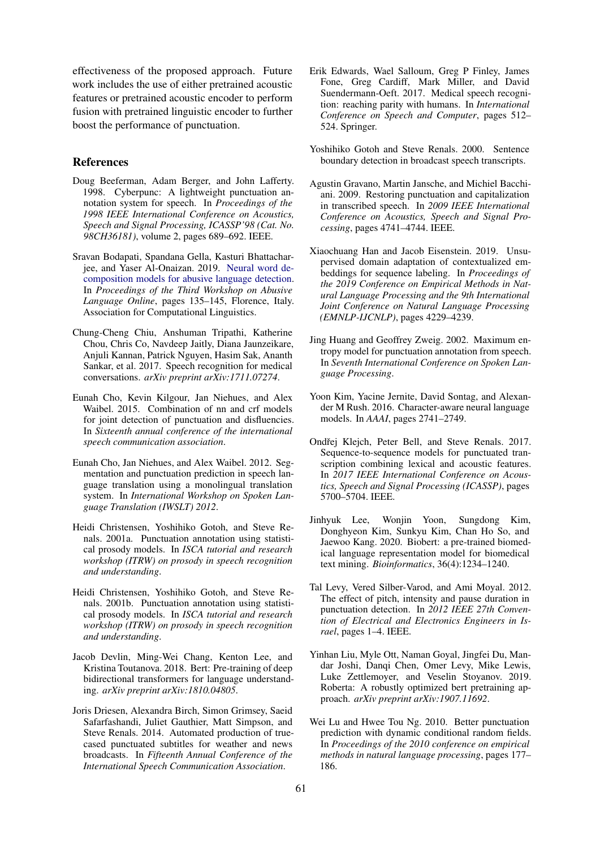effectiveness of the proposed approach. Future work includes the use of either pretrained acoustic features or pretrained acoustic encoder to perform fusion with pretrained linguistic encoder to further boost the performance of punctuation.

### References

- <span id="page-8-7"></span>Doug Beeferman, Adam Berger, and John Lafferty. 1998. Cyberpunc: A lightweight punctuation annotation system for speech. In *Proceedings of the 1998 IEEE International Conference on Acoustics, Speech and Signal Processing, ICASSP'98 (Cat. No. 98CH36181)*, volume 2, pages 689–692. IEEE.
- <span id="page-8-2"></span>Sravan Bodapati, Spandana Gella, Kasturi Bhattacharjee, and Yaser Al-Onaizan. 2019. [Neural word de](https://doi.org/10.18653/v1/W19-3515)[composition models for abusive language detection.](https://doi.org/10.18653/v1/W19-3515) In *Proceedings of the Third Workshop on Abusive Language Online*, pages 135–145, Florence, Italy. Association for Computational Linguistics.
- <span id="page-8-1"></span>Chung-Cheng Chiu, Anshuman Tripathi, Katherine Chou, Chris Co, Navdeep Jaitly, Diana Jaunzeikare, Anjuli Kannan, Patrick Nguyen, Hasim Sak, Ananth Sankar, et al. 2017. Speech recognition for medical conversations. *arXiv preprint arXiv:1711.07274*.
- <span id="page-8-16"></span>Eunah Cho, Kevin Kilgour, Jan Niehues, and Alex Waibel. 2015. Combination of nn and crf models for joint detection of punctuation and disfluencies. In *Sixteenth annual conference of the international speech communication association*.
- <span id="page-8-14"></span>Eunah Cho, Jan Niehues, and Alex Waibel. 2012. Segmentation and punctuation prediction in speech language translation using a monolingual translation system. In *International Workshop on Spoken Language Translation (IWSLT) 2012*.
- <span id="page-8-6"></span>Heidi Christensen, Yoshihiko Gotoh, and Steve Renals. 2001a. Punctuation annotation using statistical prosody models. In *ISCA tutorial and research workshop (ITRW) on prosody in speech recognition and understanding*.
- <span id="page-8-11"></span>Heidi Christensen, Yoshihiko Gotoh, and Steve Renals. 2001b. Punctuation annotation using statistical prosody models. In *ISCA tutorial and research workshop (ITRW) on prosody in speech recognition and understanding*.
- <span id="page-8-3"></span>Jacob Devlin, Ming-Wei Chang, Kenton Lee, and Kristina Toutanova. 2018. Bert: Pre-training of deep bidirectional transformers for language understanding. *arXiv preprint arXiv:1810.04805*.
- <span id="page-8-15"></span>Joris Driesen, Alexandra Birch, Simon Grimsey, Saeid Safarfashandi, Juliet Gauthier, Matt Simpson, and Steve Renals. 2014. Automated production of truecased punctuated subtitles for weather and news broadcasts. In *Fifteenth Annual Conference of the International Speech Communication Association*.
- <span id="page-8-0"></span>Erik Edwards, Wael Salloum, Greg P Finley, James Fone, Greg Cardiff, Mark Miller, and David Suendermann-Oeft. 2017. Medical speech recognition: reaching parity with humans. In *International Conference on Speech and Computer*, pages 512– 524. Springer.
- <span id="page-8-5"></span>Yoshihiko Gotoh and Steve Renals. 2000. Sentence boundary detection in broadcast speech transcripts.
- <span id="page-8-8"></span>Agustin Gravano, Martin Jansche, and Michiel Bacchiani. 2009. Restoring punctuation and capitalization in transcribed speech. In *2009 IEEE International Conference on Acoustics, Speech and Signal Processing*, pages 4741–4744. IEEE.
- <span id="page-8-17"></span>Xiaochuang Han and Jacob Eisenstein. 2019. Unsupervised domain adaptation of contextualized embeddings for sequence labeling. In *Proceedings of the 2019 Conference on Empirical Methods in Natural Language Processing and the 9th International Joint Conference on Natural Language Processing (EMNLP-IJCNLP)*, pages 4229–4239.
- <span id="page-8-10"></span>Jing Huang and Geoffrey Zweig. 2002. Maximum entropy model for punctuation annotation from speech. In *Seventh International Conference on Spoken Language Processing*.
- <span id="page-8-18"></span>Yoon Kim, Yacine Jernite, David Sontag, and Alexander M Rush. 2016. Character-aware neural language models. In *AAAI*, pages 2741–2749.
- <span id="page-8-13"></span>Ondřej Klejch, Peter Bell, and Steve Renals. 2017. Sequence-to-sequence models for punctuated transcription combining lexical and acoustic features. In *2017 IEEE International Conference on Acoustics, Speech and Signal Processing (ICASSP)*, pages 5700–5704. IEEE.
- <span id="page-8-19"></span>Jinhyuk Lee, Wonjin Yoon, Sungdong Kim, Donghyeon Kim, Sunkyu Kim, Chan Ho So, and Jaewoo Kang. 2020. Biobert: a pre-trained biomedical language representation model for biomedical text mining. *Bioinformatics*, 36(4):1234–1240.
- <span id="page-8-12"></span>Tal Levy, Vered Silber-Varod, and Ami Moyal. 2012. The effect of pitch, intensity and pause duration in punctuation detection. In *2012 IEEE 27th Convention of Electrical and Electronics Engineers in Israel*, pages 1–4. IEEE.
- <span id="page-8-4"></span>Yinhan Liu, Myle Ott, Naman Goyal, Jingfei Du, Mandar Joshi, Danqi Chen, Omer Levy, Mike Lewis, Luke Zettlemoyer, and Veselin Stoyanov. 2019. Roberta: A robustly optimized bert pretraining approach. *arXiv preprint arXiv:1907.11692*.
- <span id="page-8-9"></span>Wei Lu and Hwee Tou Ng. 2010. Better punctuation prediction with dynamic conditional random fields. In *Proceedings of the 2010 conference on empirical methods in natural language processing*, pages 177– 186.